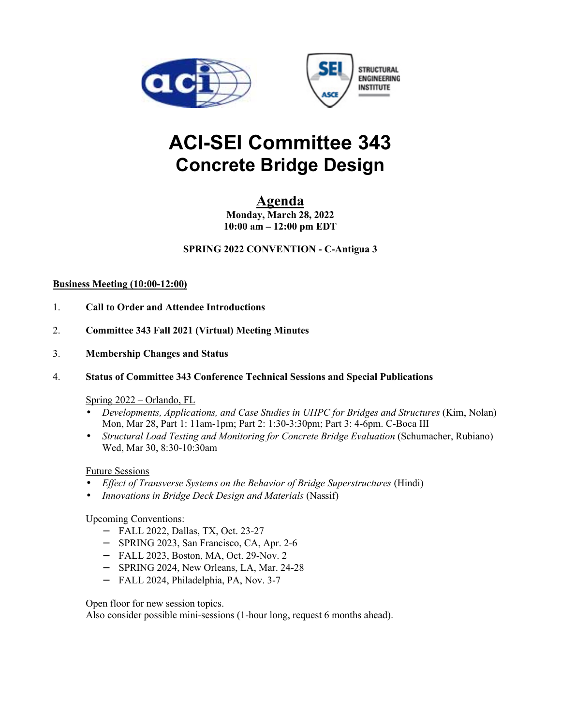



# **ACI-SEI Committee 343 Concrete Bridge Design**

# **Agenda**

**Monday, March 28, 2022 10:00 am – 12:00 pm EDT** 

**SPRING 2022 CONVENTION - C-Antigua 3** 

# **Business Meeting (10:00-12:00)**

- 1. **Call to Order and Attendee Introductions**
- 2. **Committee 343 Fall 2021 (Virtual) Meeting Minutes**
- 3. **Membership Changes and Status**
- 4. **Status of Committee 343 Conference Technical Sessions and Special Publications**

# Spring 2022 – Orlando, FL

- *Developments, Applications, and Case Studies in UHPC for Bridges and Structures* (Kim, Nolan) Mon, Mar 28, Part 1: 11am-1pm; Part 2: 1:30-3:30pm; Part 3: 4-6pm. C-Boca III
- *Structural Load Testing and Monitoring for Concrete Bridge Evaluation* (Schumacher, Rubiano) Wed, Mar 30, 8:30-10:30am

# Future Sessions

- *Effect of Transverse Systems on the Behavior of Bridge Superstructures* (Hindi)
- *Innovations in Bridge Deck Design and Materials* (Nassif)

# Upcoming Conventions:

- − FALL 2022, Dallas, TX, Oct. 23-27
- − SPRING 2023, San Francisco, CA, Apr. 2-6
- − FALL 2023, Boston, MA, Oct. 29-Nov. 2
- − SPRING 2024, New Orleans, LA, Mar. 24-28
- − FALL 2024, Philadelphia, PA, Nov. 3-7

Open floor for new session topics.

Also consider possible mini-sessions (1-hour long, request 6 months ahead).